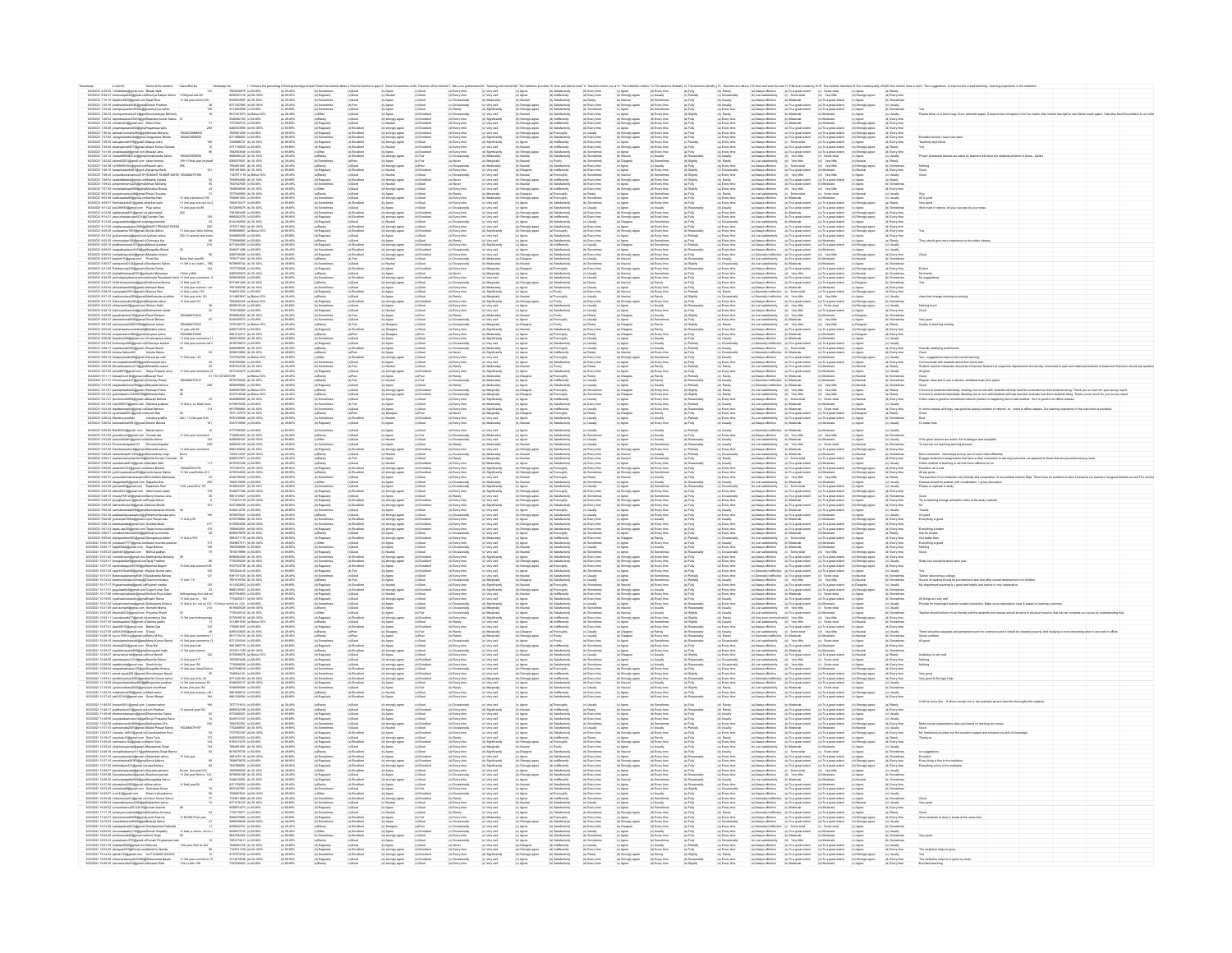| 24 Universidad Septemberia de la construction de la construction de la construction de la construction de la construction de la construction de la construction de la construction de la construction de la construction de l<br>$\begin{array}{r rrrr} \hline 0 & 0 & 0 & 0 & 0 \\ 0 & 0 & 0 & 0 & 0 \\ 0 & 0 & 0 & 0 & 0 \\ 0 & 0 & 0 & 0 & 0 \\ 0 & 0 & 0 & 0 & 0 \\ 0 & 0 & 0 & 0 & 0 \\ 0 & 0 & 0 & 0 & 0 \\ 0 & 0 & 0 & 0 & 0 \\ 0 & 0 & 0 & 0 & 0 \\ 0 & 0 & 0 & 0 & 0 \\ 0 & 0 & 0 & 0 & 0 \\ 0 & 0 & 0 & 0 & 0 \\ 0 & 0 & 0 & 0 & 0 \\ 0 & 0 & 0 & 0 &$                                                                                                                                                                                                                                                                                                                                                                                                                                                                                         |  |  |                                                                                                                                                                                                         |                                                                                                                                                                                                                                                                                                                                                   |                                                                                                                                                                                                         |  |  |                                                                                                                                                                                                                                        |
|----------------------------------------------------------------------------------------------------------------------------------------------------------------------------------------------------------------------------------------------------------------------------------------------------------------------------------------------------------------------------------------------------------------------------------------------------------------------------------------------------------------------------------------------------------------------------------------------------------------------------------------------------------------------------------------------------------------------------------------------------------------------------------------------------------------------------------------------------------------------------------------------------------------------------------------------------------------------------------------------------------------------------------------------------------|--|--|---------------------------------------------------------------------------------------------------------------------------------------------------------------------------------------------------------|---------------------------------------------------------------------------------------------------------------------------------------------------------------------------------------------------------------------------------------------------------------------------------------------------------------------------------------------------|---------------------------------------------------------------------------------------------------------------------------------------------------------------------------------------------------------|--|--|----------------------------------------------------------------------------------------------------------------------------------------------------------------------------------------------------------------------------------------|
|                                                                                                                                                                                                                                                                                                                                                                                                                                                                                                                                                                                                                                                                                                                                                                                                                                                                                                                                                                                                                                                          |  |  |                                                                                                                                                                                                         |                                                                                                                                                                                                                                                                                                                                                   |                                                                                                                                                                                                         |  |  |                                                                                                                                                                                                                                        |
|                                                                                                                                                                                                                                                                                                                                                                                                                                                                                                                                                                                                                                                                                                                                                                                                                                                                                                                                                                                                                                                          |  |  |                                                                                                                                                                                                         |                                                                                                                                                                                                                                                                                                                                                   |                                                                                                                                                                                                         |  |  |                                                                                                                                                                                                                                        |
|                                                                                                                                                                                                                                                                                                                                                                                                                                                                                                                                                                                                                                                                                                                                                                                                                                                                                                                                                                                                                                                          |  |  |                                                                                                                                                                                                         |                                                                                                                                                                                                                                                                                                                                                   |                                                                                                                                                                                                         |  |  |                                                                                                                                                                                                                                        |
|                                                                                                                                                                                                                                                                                                                                                                                                                                                                                                                                                                                                                                                                                                                                                                                                                                                                                                                                                                                                                                                          |  |  |                                                                                                                                                                                                         |                                                                                                                                                                                                                                                                                                                                                   |                                                                                                                                                                                                         |  |  |                                                                                                                                                                                                                                        |
|                                                                                                                                                                                                                                                                                                                                                                                                                                                                                                                                                                                                                                                                                                                                                                                                                                                                                                                                                                                                                                                          |  |  |                                                                                                                                                                                                         |                                                                                                                                                                                                                                                                                                                                                   |                                                                                                                                                                                                         |  |  |                                                                                                                                                                                                                                        |
|                                                                                                                                                                                                                                                                                                                                                                                                                                                                                                                                                                                                                                                                                                                                                                                                                                                                                                                                                                                                                                                          |  |  |                                                                                                                                                                                                         |                                                                                                                                                                                                                                                                                                                                                   |                                                                                                                                                                                                         |  |  |                                                                                                                                                                                                                                        |
|                                                                                                                                                                                                                                                                                                                                                                                                                                                                                                                                                                                                                                                                                                                                                                                                                                                                                                                                                                                                                                                          |  |  |                                                                                                                                                                                                         |                                                                                                                                                                                                                                                                                                                                                   |                                                                                                                                                                                                         |  |  |                                                                                                                                                                                                                                        |
| $\frac{33}{20}$                                                                                                                                                                                                                                                                                                                                                                                                                                                                                                                                                                                                                                                                                                                                                                                                                                                                                                                                                                                                                                          |  |  |                                                                                                                                                                                                         |                                                                                                                                                                                                                                                                                                                                                   |                                                                                                                                                                                                         |  |  |                                                                                                                                                                                                                                        |
|                                                                                                                                                                                                                                                                                                                                                                                                                                                                                                                                                                                                                                                                                                                                                                                                                                                                                                                                                                                                                                                          |  |  |                                                                                                                                                                                                         |                                                                                                                                                                                                                                                                                                                                                   |                                                                                                                                                                                                         |  |  |                                                                                                                                                                                                                                        |
|                                                                                                                                                                                                                                                                                                                                                                                                                                                                                                                                                                                                                                                                                                                                                                                                                                                                                                                                                                                                                                                          |  |  |                                                                                                                                                                                                         |                                                                                                                                                                                                                                                                                                                                                   |                                                                                                                                                                                                         |  |  |                                                                                                                                                                                                                                        |
|                                                                                                                                                                                                                                                                                                                                                                                                                                                                                                                                                                                                                                                                                                                                                                                                                                                                                                                                                                                                                                                          |  |  |                                                                                                                                                                                                         |                                                                                                                                                                                                                                                                                                                                                   |                                                                                                                                                                                                         |  |  |                                                                                                                                                                                                                                        |
|                                                                                                                                                                                                                                                                                                                                                                                                                                                                                                                                                                                                                                                                                                                                                                                                                                                                                                                                                                                                                                                          |  |  |                                                                                                                                                                                                         |                                                                                                                                                                                                                                                                                                                                                   |                                                                                                                                                                                                         |  |  |                                                                                                                                                                                                                                        |
|                                                                                                                                                                                                                                                                                                                                                                                                                                                                                                                                                                                                                                                                                                                                                                                                                                                                                                                                                                                                                                                          |  |  |                                                                                                                                                                                                         |                                                                                                                                                                                                                                                                                                                                                   |                                                                                                                                                                                                         |  |  |                                                                                                                                                                                                                                        |
|                                                                                                                                                                                                                                                                                                                                                                                                                                                                                                                                                                                                                                                                                                                                                                                                                                                                                                                                                                                                                                                          |  |  |                                                                                                                                                                                                         |                                                                                                                                                                                                                                                                                                                                                   |                                                                                                                                                                                                         |  |  |                                                                                                                                                                                                                                        |
| 1923), операционал (1924), операционал (1934), операционал (1934), операционал (1934), операционал (1934), операционал (1934), операционал (1934), операционал (1934), операционал (1934), операционал (1934), операционал (<br>$\begin{array}{r} \text{ } \text{ } 20 \\ \text{ } \text{--} 4.2 \text{ and year} \text{ } \text{~~} 20 \\ \text{ } \text{ } 1622 \text{ } \text{AA} \text{ and } \text{ } 123 \\ \text{ } \text{ } 248 \\ \text{ } \text{ } \text{ } 00 \\ \text{ } \text{ } \text{ } 02 \\ \text{ } \text{ } \text{ } 02 \\ \text{ } \text{ } 02 \\ \text{ } \text{ } 02 \\ \text{ } \text{ } 03 \\ \text{ } \text{ } 04 \\ \text{ } \text{ } 04 \\ \text{ } \text{ } \text{ }$<br>$-3$ and y i.e. https://anim.com/<br>$224$ / $-2$ and year Arts<br>$-224$ / $-2$ and year Arts<br>$+6$<br>$+2$ and year commerce<br>$+6$<br>$+3$ and year commerce<br>$-6$<br>$+7$<br>$+7$<br>$+6$<br>$+7$<br>$+7$<br>$+6$<br>$+7$                                                                                                                  |  |  |                                                                                                                                                                                                         |                                                                                                                                                                                                                                                                                                                                                   |                                                                                                                                                                                                         |  |  |                                                                                                                                                                                                                                        |
|                                                                                                                                                                                                                                                                                                                                                                                                                                                                                                                                                                                                                                                                                                                                                                                                                                                                                                                                                                                                                                                          |  |  |                                                                                                                                                                                                         |                                                                                                                                                                                                                                                                                                                                                   |                                                                                                                                                                                                         |  |  |                                                                                                                                                                                                                                        |
|                                                                                                                                                                                                                                                                                                                                                                                                                                                                                                                                                                                                                                                                                                                                                                                                                                                                                                                                                                                                                                                          |  |  |                                                                                                                                                                                                         |                                                                                                                                                                                                                                                                                                                                                   |                                                                                                                                                                                                         |  |  |                                                                                                                                                                                                                                        |
|                                                                                                                                                                                                                                                                                                                                                                                                                                                                                                                                                                                                                                                                                                                                                                                                                                                                                                                                                                                                                                                          |  |  |                                                                                                                                                                                                         |                                                                                                                                                                                                                                                                                                                                                   |                                                                                                                                                                                                         |  |  |                                                                                                                                                                                                                                        |
|                                                                                                                                                                                                                                                                                                                                                                                                                                                                                                                                                                                                                                                                                                                                                                                                                                                                                                                                                                                                                                                          |  |  |                                                                                                                                                                                                         |                                                                                                                                                                                                                                                                                                                                                   |                                                                                                                                                                                                         |  |  |                                                                                                                                                                                                                                        |
|                                                                                                                                                                                                                                                                                                                                                                                                                                                                                                                                                                                                                                                                                                                                                                                                                                                                                                                                                                                                                                                          |  |  |                                                                                                                                                                                                         |                                                                                                                                                                                                                                                                                                                                                   |                                                                                                                                                                                                         |  |  |                                                                                                                                                                                                                                        |
|                                                                                                                                                                                                                                                                                                                                                                                                                                                                                                                                                                                                                                                                                                                                                                                                                                                                                                                                                                                                                                                          |  |  |                                                                                                                                                                                                         |                                                                                                                                                                                                                                                                                                                                                   |                                                                                                                                                                                                         |  |  |                                                                                                                                                                                                                                        |
|                                                                                                                                                                                                                                                                                                                                                                                                                                                                                                                                                                                                                                                                                                                                                                                                                                                                                                                                                                                                                                                          |  |  |                                                                                                                                                                                                         |                                                                                                                                                                                                                                                                                                                                                   |                                                                                                                                                                                                         |  |  |                                                                                                                                                                                                                                        |
|                                                                                                                                                                                                                                                                                                                                                                                                                                                                                                                                                                                                                                                                                                                                                                                                                                                                                                                                                                                                                                                          |  |  |                                                                                                                                                                                                         |                                                                                                                                                                                                                                                                                                                                                   |                                                                                                                                                                                                         |  |  |                                                                                                                                                                                                                                        |
|                                                                                                                                                                                                                                                                                                                                                                                                                                                                                                                                                                                                                                                                                                                                                                                                                                                                                                                                                                                                                                                          |  |  |                                                                                                                                                                                                         |                                                                                                                                                                                                                                                                                                                                                   |                                                                                                                                                                                                         |  |  |                                                                                                                                                                                                                                        |
|                                                                                                                                                                                                                                                                                                                                                                                                                                                                                                                                                                                                                                                                                                                                                                                                                                                                                                                                                                                                                                                          |  |  |                                                                                                                                                                                                         |                                                                                                                                                                                                                                                                                                                                                   |                                                                                                                                                                                                         |  |  |                                                                                                                                                                                                                                        |
|                                                                                                                                                                                                                                                                                                                                                                                                                                                                                                                                                                                                                                                                                                                                                                                                                                                                                                                                                                                                                                                          |  |  |                                                                                                                                                                                                         |                                                                                                                                                                                                                                                                                                                                                   |                                                                                                                                                                                                         |  |  |                                                                                                                                                                                                                                        |
|                                                                                                                                                                                                                                                                                                                                                                                                                                                                                                                                                                                                                                                                                                                                                                                                                                                                                                                                                                                                                                                          |  |  |                                                                                                                                                                                                         |                                                                                                                                                                                                                                                                                                                                                   |                                                                                                                                                                                                         |  |  |                                                                                                                                                                                                                                        |
| $\begin{array}{r} \begin{array}{r} \begin{array}{r} \begin{array}{r} \end{array} \\ \begin{array}{r} \begin{array}{r} \end{array} \\ \begin{array}{r} \end{array} \\ \begin{array}{r} \end{array} \\ \begin{array}{r} \end{array} \\ \begin{array}{r} \end{array} \\ \begin{array}{r} \end{array} \\ \begin{array}{r} \end{array} \\ \begin{array}{r} \end{array} \\ \begin{array}{r} \end{array} \\ \begin{array}{r} \end{array} \\ \begin{array}{r} \end{array} \\ \begin{array}{r} \end{array} \\ \begin{array}{r} \end{array} \\ \begin{array}{r} \end{$                                                                                                                                                                                                                                                                                                                                                                                                                                                                                             |  |  |                                                                                                                                                                                                         |                                                                                                                                                                                                                                                                                                                                                   |                                                                                                                                                                                                         |  |  |                                                                                                                                                                                                                                        |
|                                                                                                                                                                                                                                                                                                                                                                                                                                                                                                                                                                                                                                                                                                                                                                                                                                                                                                                                                                                                                                                          |  |  |                                                                                                                                                                                                         |                                                                                                                                                                                                                                                                                                                                                   |                                                                                                                                                                                                         |  |  |                                                                                                                                                                                                                                        |
|                                                                                                                                                                                                                                                                                                                                                                                                                                                                                                                                                                                                                                                                                                                                                                                                                                                                                                                                                                                                                                                          |  |  |                                                                                                                                                                                                         |                                                                                                                                                                                                                                                                                                                                                   |                                                                                                                                                                                                         |  |  |                                                                                                                                                                                                                                        |
|                                                                                                                                                                                                                                                                                                                                                                                                                                                                                                                                                                                                                                                                                                                                                                                                                                                                                                                                                                                                                                                          |  |  |                                                                                                                                                                                                         |                                                                                                                                                                                                                                                                                                                                                   |                                                                                                                                                                                                         |  |  |                                                                                                                                                                                                                                        |
|                                                                                                                                                                                                                                                                                                                                                                                                                                                                                                                                                                                                                                                                                                                                                                                                                                                                                                                                                                                                                                                          |  |  |                                                                                                                                                                                                         |                                                                                                                                                                                                                                                                                                                                                   |                                                                                                                                                                                                         |  |  |                                                                                                                                                                                                                                        |
|                                                                                                                                                                                                                                                                                                                                                                                                                                                                                                                                                                                                                                                                                                                                                                                                                                                                                                                                                                                                                                                          |  |  |                                                                                                                                                                                                         |                                                                                                                                                                                                                                                                                                                                                   |                                                                                                                                                                                                         |  |  |                                                                                                                                                                                                                                        |
|                                                                                                                                                                                                                                                                                                                                                                                                                                                                                                                                                                                                                                                                                                                                                                                                                                                                                                                                                                                                                                                          |  |  |                                                                                                                                                                                                         |                                                                                                                                                                                                                                                                                                                                                   |                                                                                                                                                                                                         |  |  |                                                                                                                                                                                                                                        |
| $-200$<br>$-200, y \sin \theta d\theta d\theta = \frac{100}{100}$<br>$-6.5$<br>$-6.2 \sin y/101 = \frac{217}{600}$<br>$-6.2 \sin y/105 = \frac{40}{60}$<br>$-6.2 \sin y/105 = \frac{40}{60}$                                                                                                                                                                                                                                                                                                                                                                                                                                                                                                                                                                                                                                                                                                                                                                                                                                                             |  |  |                                                                                                                                                                                                         |                                                                                                                                                                                                                                                                                                                                                   |                                                                                                                                                                                                         |  |  |                                                                                                                                                                                                                                        |
|                                                                                                                                                                                                                                                                                                                                                                                                                                                                                                                                                                                                                                                                                                                                                                                                                                                                                                                                                                                                                                                          |  |  |                                                                                                                                                                                                         |                                                                                                                                                                                                                                                                                                                                                   |                                                                                                                                                                                                         |  |  |                                                                                                                                                                                                                                        |
|                                                                                                                                                                                                                                                                                                                                                                                                                                                                                                                                                                                                                                                                                                                                                                                                                                                                                                                                                                                                                                                          |  |  |                                                                                                                                                                                                         |                                                                                                                                                                                                                                                                                                                                                   |                                                                                                                                                                                                         |  |  |                                                                                                                                                                                                                                        |
|                                                                                                                                                                                                                                                                                                                                                                                                                                                                                                                                                                                                                                                                                                                                                                                                                                                                                                                                                                                                                                                          |  |  |                                                                                                                                                                                                         |                                                                                                                                                                                                                                                                                                                                                   |                                                                                                                                                                                                         |  |  |                                                                                                                                                                                                                                        |
|                                                                                                                                                                                                                                                                                                                                                                                                                                                                                                                                                                                                                                                                                                                                                                                                                                                                                                                                                                                                                                                          |  |  |                                                                                                                                                                                                         |                                                                                                                                                                                                                                                                                                                                                   |                                                                                                                                                                                                         |  |  |                                                                                                                                                                                                                                        |
|                                                                                                                                                                                                                                                                                                                                                                                                                                                                                                                                                                                                                                                                                                                                                                                                                                                                                                                                                                                                                                                          |  |  |                                                                                                                                                                                                         |                                                                                                                                                                                                                                                                                                                                                   |                                                                                                                                                                                                         |  |  | More interaction, resumed<br>the proportion of the matrices in a matrice of the matrices of the state<br>of the matrices of the state of the state of the state of the state<br>of the matrices of the matrices of the matrices of the |
| $\begin{array}{r} 173 \\ 120 \\ 20 \\ 32 \\ 45 \\ \text{non-t46} \\ 125 \\ 127 \end{array}$                                                                                                                                                                                                                                                                                                                                                                                                                                                                                                                                                                                                                                                                                                                                                                                                                                                                                                                                                              |  |  |                                                                                                                                                                                                         |                                                                                                                                                                                                                                                                                                                                                   |                                                                                                                                                                                                         |  |  |                                                                                                                                                                                                                                        |
|                                                                                                                                                                                                                                                                                                                                                                                                                                                                                                                                                                                                                                                                                                                                                                                                                                                                                                                                                                                                                                                          |  |  |                                                                                                                                                                                                         |                                                                                                                                                                                                                                                                                                                                                   |                                                                                                                                                                                                         |  |  |                                                                                                                                                                                                                                        |
|                                                                                                                                                                                                                                                                                                                                                                                                                                                                                                                                                                                                                                                                                                                                                                                                                                                                                                                                                                                                                                                          |  |  |                                                                                                                                                                                                         |                                                                                                                                                                                                                                                                                                                                                   |                                                                                                                                                                                                         |  |  |                                                                                                                                                                                                                                        |
|                                                                                                                                                                                                                                                                                                                                                                                                                                                                                                                                                                                                                                                                                                                                                                                                                                                                                                                                                                                                                                                          |  |  |                                                                                                                                                                                                         |                                                                                                                                                                                                                                                                                                                                                   |                                                                                                                                                                                                         |  |  |                                                                                                                                                                                                                                        |
|                                                                                                                                                                                                                                                                                                                                                                                                                                                                                                                                                                                                                                                                                                                                                                                                                                                                                                                                                                                                                                                          |  |  |                                                                                                                                                                                                         |                                                                                                                                                                                                                                                                                                                                                   |                                                                                                                                                                                                         |  |  |                                                                                                                                                                                                                                        |
|                                                                                                                                                                                                                                                                                                                                                                                                                                                                                                                                                                                                                                                                                                                                                                                                                                                                                                                                                                                                                                                          |  |  |                                                                                                                                                                                                         |                                                                                                                                                                                                                                                                                                                                                   |                                                                                                                                                                                                         |  |  |                                                                                                                                                                                                                                        |
|                                                                                                                                                                                                                                                                                                                                                                                                                                                                                                                                                                                                                                                                                                                                                                                                                                                                                                                                                                                                                                                          |  |  |                                                                                                                                                                                                         |                                                                                                                                                                                                                                                                                                                                                   |                                                                                                                                                                                                         |  |  |                                                                                                                                                                                                                                        |
|                                                                                                                                                                                                                                                                                                                                                                                                                                                                                                                                                                                                                                                                                                                                                                                                                                                                                                                                                                                                                                                          |  |  |                                                                                                                                                                                                         |                                                                                                                                                                                                                                                                                                                                                   |                                                                                                                                                                                                         |  |  |                                                                                                                                                                                                                                        |
|                                                                                                                                                                                                                                                                                                                                                                                                                                                                                                                                                                                                                                                                                                                                                                                                                                                                                                                                                                                                                                                          |  |  |                                                                                                                                                                                                         |                                                                                                                                                                                                                                                                                                                                                   |                                                                                                                                                                                                         |  |  |                                                                                                                                                                                                                                        |
|                                                                                                                                                                                                                                                                                                                                                                                                                                                                                                                                                                                                                                                                                                                                                                                                                                                                                                                                                                                                                                                          |  |  |                                                                                                                                                                                                         |                                                                                                                                                                                                                                                                                                                                                   |                                                                                                                                                                                                         |  |  |                                                                                                                                                                                                                                        |
|                                                                                                                                                                                                                                                                                                                                                                                                                                                                                                                                                                                                                                                                                                                                                                                                                                                                                                                                                                                                                                                          |  |  |                                                                                                                                                                                                         |                                                                                                                                                                                                                                                                                                                                                   |                                                                                                                                                                                                         |  |  |                                                                                                                                                                                                                                        |
|                                                                                                                                                                                                                                                                                                                                                                                                                                                                                                                                                                                                                                                                                                                                                                                                                                                                                                                                                                                                                                                          |  |  |                                                                                                                                                                                                         |                                                                                                                                                                                                                                                                                                                                                   |                                                                                                                                                                                                         |  |  |                                                                                                                                                                                                                                        |
|                                                                                                                                                                                                                                                                                                                                                                                                                                                                                                                                                                                                                                                                                                                                                                                                                                                                                                                                                                                                                                                          |  |  |                                                                                                                                                                                                         |                                                                                                                                                                                                                                                                                                                                                   |                                                                                                                                                                                                         |  |  |                                                                                                                                                                                                                                        |
|                                                                                                                                                                                                                                                                                                                                                                                                                                                                                                                                                                                                                                                                                                                                                                                                                                                                                                                                                                                                                                                          |  |  |                                                                                                                                                                                                         |                                                                                                                                                                                                                                                                                                                                                   |                                                                                                                                                                                                         |  |  |                                                                                                                                                                                                                                        |
|                                                                                                                                                                                                                                                                                                                                                                                                                                                                                                                                                                                                                                                                                                                                                                                                                                                                                                                                                                                                                                                          |  |  |                                                                                                                                                                                                         |                                                                                                                                                                                                                                                                                                                                                   |                                                                                                                                                                                                         |  |  |                                                                                                                                                                                                                                        |
|                                                                                                                                                                                                                                                                                                                                                                                                                                                                                                                                                                                                                                                                                                                                                                                                                                                                                                                                                                                                                                                          |  |  |                                                                                                                                                                                                         |                                                                                                                                                                                                                                                                                                                                                   |                                                                                                                                                                                                         |  |  | There should be seps<br>Server problem<br>All good<br>Institution is very well<br>Instituting<br>Nothing<br>Very good & Strongly I<br>Very good & Strongly I                                                                           |
|                                                                                                                                                                                                                                                                                                                                                                                                                                                                                                                                                                                                                                                                                                                                                                                                                                                                                                                                                                                                                                                          |  |  |                                                                                                                                                                                                         |                                                                                                                                                                                                                                                                                                                                                   |                                                                                                                                                                                                         |  |  |                                                                                                                                                                                                                                        |
|                                                                                                                                                                                                                                                                                                                                                                                                                                                                                                                                                                                                                                                                                                                                                                                                                                                                                                                                                                                                                                                          |  |  |                                                                                                                                                                                                         |                                                                                                                                                                                                                                                                                                                                                   |                                                                                                                                                                                                         |  |  |                                                                                                                                                                                                                                        |
|                                                                                                                                                                                                                                                                                                                                                                                                                                                                                                                                                                                                                                                                                                                                                                                                                                                                                                                                                                                                                                                          |  |  |                                                                                                                                                                                                         |                                                                                                                                                                                                                                                                                                                                                   |                                                                                                                                                                                                         |  |  |                                                                                                                                                                                                                                        |
| $\begin{array}{r} \Delta \Delta \alpha \text{ / and} \\ \Delta \Delta \alpha \text{ / } 10 \\ \Delta \alpha \text{ / } 10 \\ \Delta \alpha \text{ / and} \\ \Delta \alpha \text{ / } 20 \\ \Delta \alpha \text{ / } 20 \\ \Delta \alpha \text{ / } 20 \\ \Delta \alpha \text{ / } 20 \\ \Delta \alpha \text{ / } 20 \\ \Delta \alpha \text{ / } 20 \\ \Delta \alpha \text{ / } 20 \\ \Delta \alpha \text{ / } 20 \\ \Delta \alpha \text{ / } 20 \\ \Delta \alpha \text{ / } 20 \\ \Delta \alpha \text{ / } 20 \\ \Delta \alpha \text{ / } 20 \\ \Delta \alpha \$<br>$\begin{split} &\text{cov}(1,0) \otimes \text{cov}(1,0) \otimes \text{cov}(2) \\ &\text{cov}(1,0) \otimes \text{cov}(2) \otimes \text{cov}(2) \\ &\text{cov}(2) \otimes \text{cov}(2) \otimes \text{cov}(2) \\ &\text{cov}(2) \otimes \text{cov}(2) \otimes \text{cov}(2) \\ &\text{cov}(2) \otimes \text{cov}(2) \otimes \text{cov}(2) \\ &\text{cov}(2) \otimes \text{cov}(2) \otimes \text{cov}(2) \\ &\text{cov}(2) \otimes \text{cov}(2) \otimes \text{cov}(2) \\ &\text{cov}($ |  |  |                                                                                                                                                                                                         |                                                                                                                                                                                                                                                                                                                                                   |                                                                                                                                                                                                         |  |  |                                                                                                                                                                                                                                        |
|                                                                                                                                                                                                                                                                                                                                                                                                                                                                                                                                                                                                                                                                                                                                                                                                                                                                                                                                                                                                                                                          |  |  |                                                                                                                                                                                                         |                                                                                                                                                                                                                                                                                                                                                   |                                                                                                                                                                                                         |  |  |                                                                                                                                                                                                                                        |
| $\begin{array}{c} 42 \\ -14 \\ 20 \end{array}$                                                                                                                                                                                                                                                                                                                                                                                                                                                                                                                                                                                                                                                                                                                                                                                                                                                                                                                                                                                                           |  |  |                                                                                                                                                                                                         |                                                                                                                                                                                                                                                                                                                                                   |                                                                                                                                                                                                         |  |  |                                                                                                                                                                                                                                        |
|                                                                                                                                                                                                                                                                                                                                                                                                                                                                                                                                                                                                                                                                                                                                                                                                                                                                                                                                                                                                                                                          |  |  |                                                                                                                                                                                                         |                                                                                                                                                                                                                                                                                                                                                   |                                                                                                                                                                                                         |  |  |                                                                                                                                                                                                                                        |
|                                                                                                                                                                                                                                                                                                                                                                                                                                                                                                                                                                                                                                                                                                                                                                                                                                                                                                                                                                                                                                                          |  |  |                                                                                                                                                                                                         |                                                                                                                                                                                                                                                                                                                                                   |                                                                                                                                                                                                         |  |  |                                                                                                                                                                                                                                        |
|                                                                                                                                                                                                                                                                                                                                                                                                                                                                                                                                                                                                                                                                                                                                                                                                                                                                                                                                                                                                                                                          |  |  |                                                                                                                                                                                                         |                                                                                                                                                                                                                                                                                                                                                   |                                                                                                                                                                                                         |  |  |                                                                                                                                                                                                                                        |
|                                                                                                                                                                                                                                                                                                                                                                                                                                                                                                                                                                                                                                                                                                                                                                                                                                                                                                                                                                                                                                                          |  |  |                                                                                                                                                                                                         |                                                                                                                                                                                                                                                                                                                                                   |                                                                                                                                                                                                         |  |  |                                                                                                                                                                                                                                        |
|                                                                                                                                                                                                                                                                                                                                                                                                                                                                                                                                                                                                                                                                                                                                                                                                                                                                                                                                                                                                                                                          |  |  |                                                                                                                                                                                                         |                                                                                                                                                                                                                                                                                                                                                   |                                                                                                                                                                                                         |  |  |                                                                                                                                                                                                                                        |
|                                                                                                                                                                                                                                                                                                                                                                                                                                                                                                                                                                                                                                                                                                                                                                                                                                                                                                                                                                                                                                                          |  |  |                                                                                                                                                                                                         |                                                                                                                                                                                                                                                                                                                                                   |                                                                                                                                                                                                         |  |  |                                                                                                                                                                                                                                        |
|                                                                                                                                                                                                                                                                                                                                                                                                                                                                                                                                                                                                                                                                                                                                                                                                                                                                                                                                                                                                                                                          |  |  |                                                                                                                                                                                                         |                                                                                                                                                                                                                                                                                                                                                   |                                                                                                                                                                                                         |  |  |                                                                                                                                                                                                                                        |
|                                                                                                                                                                                                                                                                                                                                                                                                                                                                                                                                                                                                                                                                                                                                                                                                                                                                                                                                                                                                                                                          |  |  |                                                                                                                                                                                                         |                                                                                                                                                                                                                                                                                                                                                   |                                                                                                                                                                                                         |  |  |                                                                                                                                                                                                                                        |
| $\begin{array}{l} \text{R} \\ \text{R.com} \  \  \, \text{2nd year (67)} \\ \text{-3 2nd year (Rail on 14)} \\ \text{-4 3 final year (68)} \\ \text{-5} \end{array}$                                                                                                                                                                                                                                                                                                                                                                                                                                                                                                                                                                                                                                                                                                                                                                                                                                                                                     |  |  |                                                                                                                                                                                                         |                                                                                                                                                                                                                                                                                                                                                   |                                                                                                                                                                                                         |  |  |                                                                                                                                                                                                                                        |
|                                                                                                                                                                                                                                                                                                                                                                                                                                                                                                                                                                                                                                                                                                                                                                                                                                                                                                                                                                                                                                                          |  |  |                                                                                                                                                                                                         |                                                                                                                                                                                                                                                                                                                                                   |                                                                                                                                                                                                         |  |  |                                                                                                                                                                                                                                        |
|                                                                                                                                                                                                                                                                                                                                                                                                                                                                                                                                                                                                                                                                                                                                                                                                                                                                                                                                                                                                                                                          |  |  |                                                                                                                                                                                                         |                                                                                                                                                                                                                                                                                                                                                   |                                                                                                                                                                                                         |  |  |                                                                                                                                                                                                                                        |
|                                                                                                                                                                                                                                                                                                                                                                                                                                                                                                                                                                                                                                                                                                                                                                                                                                                                                                                                                                                                                                                          |  |  |                                                                                                                                                                                                         |                                                                                                                                                                                                                                                                                                                                                   |                                                                                                                                                                                                         |  |  |                                                                                                                                                                                                                                        |
|                                                                                                                                                                                                                                                                                                                                                                                                                                                                                                                                                                                                                                                                                                                                                                                                                                                                                                                                                                                                                                                          |  |  |                                                                                                                                                                                                         |                                                                                                                                                                                                                                                                                                                                                   |                                                                                                                                                                                                         |  |  |                                                                                                                                                                                                                                        |
|                                                                                                                                                                                                                                                                                                                                                                                                                                                                                                                                                                                                                                                                                                                                                                                                                                                                                                                                                                                                                                                          |  |  |                                                                                                                                                                                                         |                                                                                                                                                                                                                                                                                                                                                   |                                                                                                                                                                                                         |  |  |                                                                                                                                                                                                                                        |
|                                                                                                                                                                                                                                                                                                                                                                                                                                                                                                                                                                                                                                                                                                                                                                                                                                                                                                                                                                                                                                                          |  |  |                                                                                                                                                                                                         |                                                                                                                                                                                                                                                                                                                                                   |                                                                                                                                                                                                         |  |  |                                                                                                                                                                                                                                        |
|                                                                                                                                                                                                                                                                                                                                                                                                                                                                                                                                                                                                                                                                                                                                                                                                                                                                                                                                                                                                                                                          |  |  |                                                                                                                                                                                                         |                                                                                                                                                                                                                                                                                                                                                   |                                                                                                                                                                                                         |  |  |                                                                                                                                                                                                                                        |
|                                                                                                                                                                                                                                                                                                                                                                                                                                                                                                                                                                                                                                                                                                                                                                                                                                                                                                                                                                                                                                                          |  |  |                                                                                                                                                                                                         |                                                                                                                                                                                                                                                                                                                                                   |                                                                                                                                                                                                         |  |  |                                                                                                                                                                                                                                        |
|                                                                                                                                                                                                                                                                                                                                                                                                                                                                                                                                                                                                                                                                                                                                                                                                                                                                                                                                                                                                                                                          |  |  |                                                                                                                                                                                                         |                                                                                                                                                                                                                                                                                                                                                   |                                                                                                                                                                                                         |  |  |                                                                                                                                                                                                                                        |
| -3 Srd year commerci<br>-Srd yr Arts 156                                                                                                                                                                                                                                                                                                                                                                                                                                                                                                                                                                                                                                                                                                                                                                                                                                                                                                                                                                                                                 |  |  | ,我们这么不是,我们这么不是,我们还是我们的,我们还是我们的,我们还是我们的,我们还是我们的。我们还是我们的,我们还是我们的。我们的,我们就是我们的,我们就是我们的,我们就是我们的,我们就是我们的,我们就是我们的。我们就<br>第234章 我们就是我们的,我们就是我们的,我们就是我们的,我们就是我们的。我们就是我们的,我们就是我们的。我们就是我们的。我们就是我们的。我们的,我们就是我们的,我们就 | a a a a a construction of the construction of the construction of the construction of the construction of the construction of the construction of the construction of the construction of the construction of the construction<br>a sa sa ta 1999 na taonar 1999 na taonar 1999. I ta 1999 na taonar 1999 na taonar 1999 na taonar 1999 na mara A | ,我们不能说,我们不能说,我们不能说,我们不能说,我们不能说,我们不能说,我们不能说,我们不能说,我们不能说,我们不能说,我们不能说,我们不能说,我们不能说,我们不能说,我们不能说,我们不能说,我们不能说,我们不能说,我<br>第24章 我们不能说,我们不能说,我们不能说,我们不能说,我们不能说,我们不能说,我们不能说,我们不能说,我们不能说,我们不能说,我们不能说,我们不能说,我们不能说,我们 |  |  |                                                                                                                                                                                                                                        |